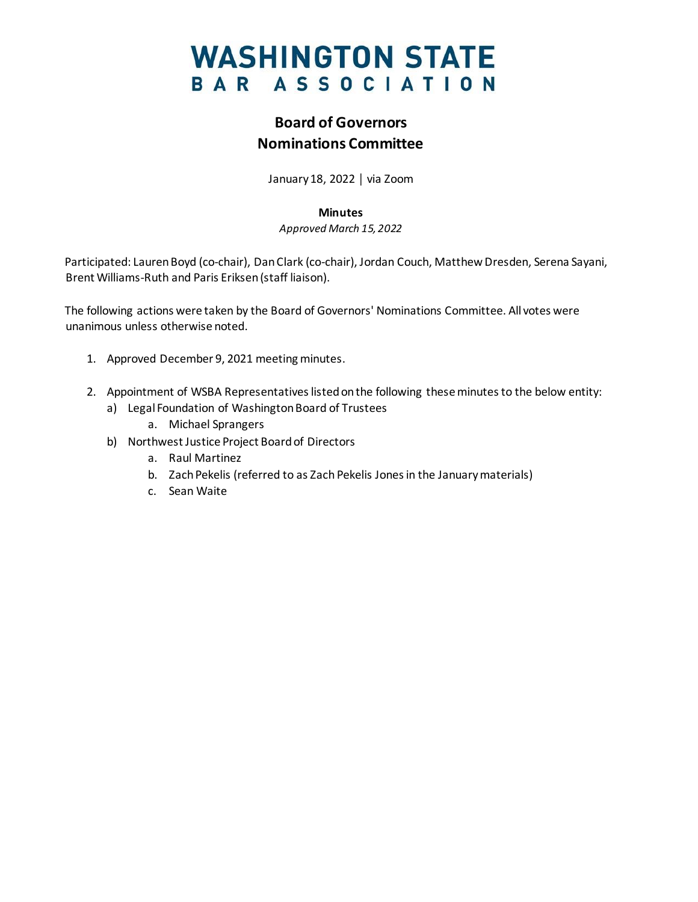## **WASHINGTON STATE** BAR ASSOCIATION

### **Board of Governors Nominations Committee**

January 18, 2022 │ via Zoom

#### **Minutes**

*Approved March 15, 2022*

Participated: Lauren Boyd (co-chair), Dan Clark (co-chair), Jordan Couch, Matthew Dresden, Serena Sayani, Brent Williams-Ruth and Paris Eriksen(staff liaison).

The following actions were taken by the Board of Governors' Nominations Committee. All votes were unanimous unless otherwise noted.

- 1. Approved December 9, 2021 meeting minutes.
- 2. Appointment of WSBA Representatives listed on the following these minutes to the below entity:
	- a) Legal Foundation of Washington Board of Trustees
		- a. Michael Sprangers
	- b) Northwest Justice Project Board of Directors
		- a. Raul Martinez
		- b. Zach Pekelis (referred to as Zach Pekelis Jones in the January materials)
		- c. Sean Waite